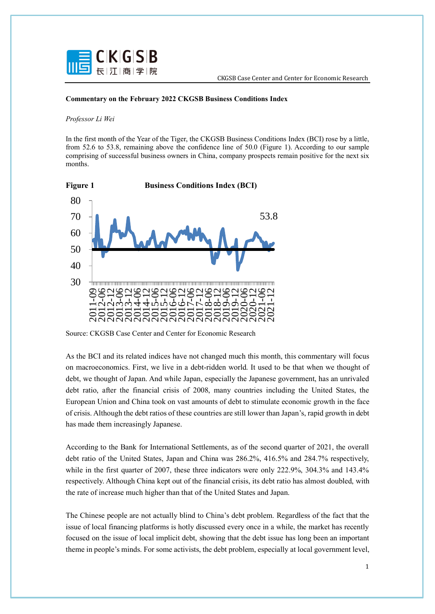

## **Commentary on the February 2022 CKGSB Business Conditions Index**

## *Professor Li Wei*

In the first month of the Year of the Tiger, the CKGSB Business Conditions Index (BCI) rose by a little, from 52.6 to 53.8, remaining above the confidence line of 50.0 (Figure 1). According to our sample comprising of successful business owners in China, company prospects remain positive for the next six months.



Source: CKGSB Case Center and Center for Economic Research

As the BCI and its related indices have not changed much this month, this commentary will focus on macroeconomics. First, we live in a debt-ridden world. It used to be that when we thought of debt, we thought of Japan. And while Japan, especially the Japanese government, has an unrivaled debt ratio, after the financial crisis of 2008, many countries including the United States, the European Union and China took on vast amounts of debt to stimulate economic growth in the face of crisis. Although the debt ratios of these countries are still lower than Japan's, rapid growth in debt has made them increasingly Japanese.

According to the Bank for International Settlements, as of the second quarter of 2021, the overall debt ratio of the United States, Japan and China was 286.2%, 416.5% and 284.7% respectively, while in the first quarter of 2007, these three indicators were only 222.9%, 304.3% and 143.4% respectively. Although China kept out of the financial crisis, its debt ratio has almost doubled, with the rate of increase much higher than that of the United States and Japan.

The Chinese people are not actually blind to China's debt problem. Regardless of the fact that the issue of local financing platforms is hotly discussed every once in a while, the market has recently focused on the issue of local implicit debt, showing that the debt issue has long been an important theme in people's minds. For some activists, the debt problem, especially at local government level,